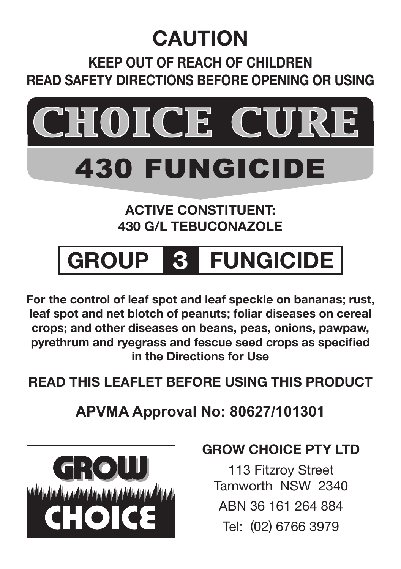## **CAUTION**

## **Keep out of reach of children Read safety directions before opening or using**



# 430 FUNGicide

#### **ACTIVE CONSTITUENT: 430 g/L TEBUCONAZOLE**

## **GROUP 3 FUNGICIDE**

**For the control of leaf spot and leaf speckle on bananas; rust, leaf spot and net blotch of peanuts; foliar diseases on cereal crops; and other diseases on beans, peas, onions, pawpaw, pyrethrum and ryegrass and fescue seed crops as specified in the Directions for Use**

**READ THIS LEAFLET BEFORE USING THIS PRODUCT**

**APVMA Approval No: 80627/101301**



### **GROW CHOICE PTY LTD**

113 Fitzroy Street Tamworth NSW 2340 ABN 36 161 264 884 Tel: (02) 6766 3979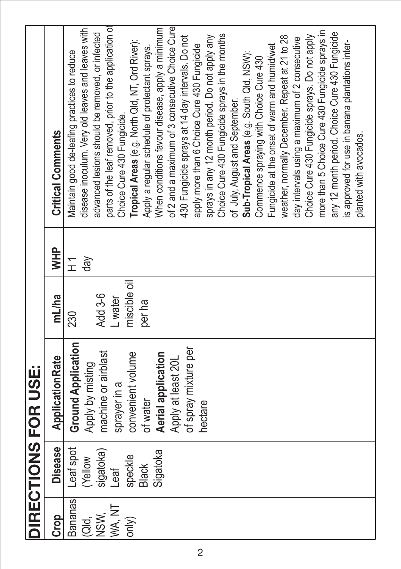| parts of the leaf removed, prior to the application of<br>disease inoculum. Very old leaves and leaves with<br>advanced lesions should be removed, or infected<br>weather, normally December. Repeat at 21 to 28<br>430 Fungicide sprays at 14 day intervals. Do not<br>sprays in any 12 month period. Do not apply any<br>day intervals using a maximum of 2 consecutive<br>Tropical Areas (e.g. North Qld, NT, Ord River):<br>is approved for use in banana plantations inter-<br>apply more than 6 Choice Cure 430 Fungicide<br>Fungicide at the onset of warm and humid/wet<br>Apply a regular schedule of protectant sprays.<br>Maintain good de-leafing practices to reduce<br>Sub-Tropical Areas (e.g. South Qld, NSW):<br>Commence spraying with Choice Cure 430<br>of July, August and September.<br>Choice Cure 430 Fungicide.<br><b>Critical Comments</b><br>planted with avocados.<br><b>HHM</b><br>$\sqrt{e}$<br>$\overline{t}$<br>miscible oil<br>Add 3-6<br>mL/ha<br><b>L</b> water<br>per ha<br>230<br><b>Ground Application</b><br>of spray mixture per<br>machine or airblast<br>convenient volume<br>Aerial application<br>Application Rate<br>Apply at least 20L<br>Apply by misting<br>sprayer in a<br>of water<br>hectare<br><b>Disease</b><br>Leaf spot<br>Sigatoka<br>sigatoka)<br>speckle<br>(Yellow<br><b>Black</b><br>Teel<br>Bananas<br>WA, NT<br>INSW,<br><b>Crop</b> |  | DIRECTIONS FOR USE: |  |                                                 |  |
|----------------------------------------------------------------------------------------------------------------------------------------------------------------------------------------------------------------------------------------------------------------------------------------------------------------------------------------------------------------------------------------------------------------------------------------------------------------------------------------------------------------------------------------------------------------------------------------------------------------------------------------------------------------------------------------------------------------------------------------------------------------------------------------------------------------------------------------------------------------------------------------------------------------------------------------------------------------------------------------------------------------------------------------------------------------------------------------------------------------------------------------------------------------------------------------------------------------------------------------------------------------------------------------------------------------------------------------------------------------------------------------------------|--|---------------------|--|-------------------------------------------------|--|
|                                                                                                                                                                                                                                                                                                                                                                                                                                                                                                                                                                                                                                                                                                                                                                                                                                                                                                                                                                                                                                                                                                                                                                                                                                                                                                                                                                                                    |  |                     |  |                                                 |  |
|                                                                                                                                                                                                                                                                                                                                                                                                                                                                                                                                                                                                                                                                                                                                                                                                                                                                                                                                                                                                                                                                                                                                                                                                                                                                                                                                                                                                    |  |                     |  |                                                 |  |
|                                                                                                                                                                                                                                                                                                                                                                                                                                                                                                                                                                                                                                                                                                                                                                                                                                                                                                                                                                                                                                                                                                                                                                                                                                                                                                                                                                                                    |  |                     |  |                                                 |  |
|                                                                                                                                                                                                                                                                                                                                                                                                                                                                                                                                                                                                                                                                                                                                                                                                                                                                                                                                                                                                                                                                                                                                                                                                                                                                                                                                                                                                    |  |                     |  |                                                 |  |
|                                                                                                                                                                                                                                                                                                                                                                                                                                                                                                                                                                                                                                                                                                                                                                                                                                                                                                                                                                                                                                                                                                                                                                                                                                                                                                                                                                                                    |  |                     |  |                                                 |  |
|                                                                                                                                                                                                                                                                                                                                                                                                                                                                                                                                                                                                                                                                                                                                                                                                                                                                                                                                                                                                                                                                                                                                                                                                                                                                                                                                                                                                    |  |                     |  |                                                 |  |
|                                                                                                                                                                                                                                                                                                                                                                                                                                                                                                                                                                                                                                                                                                                                                                                                                                                                                                                                                                                                                                                                                                                                                                                                                                                                                                                                                                                                    |  |                     |  |                                                 |  |
|                                                                                                                                                                                                                                                                                                                                                                                                                                                                                                                                                                                                                                                                                                                                                                                                                                                                                                                                                                                                                                                                                                                                                                                                                                                                                                                                                                                                    |  |                     |  |                                                 |  |
|                                                                                                                                                                                                                                                                                                                                                                                                                                                                                                                                                                                                                                                                                                                                                                                                                                                                                                                                                                                                                                                                                                                                                                                                                                                                                                                                                                                                    |  |                     |  | When conditions favour disease, apply a minimum |  |
|                                                                                                                                                                                                                                                                                                                                                                                                                                                                                                                                                                                                                                                                                                                                                                                                                                                                                                                                                                                                                                                                                                                                                                                                                                                                                                                                                                                                    |  |                     |  | of 2 and a maximum of 3 consecutive Choice Cure |  |
|                                                                                                                                                                                                                                                                                                                                                                                                                                                                                                                                                                                                                                                                                                                                                                                                                                                                                                                                                                                                                                                                                                                                                                                                                                                                                                                                                                                                    |  |                     |  |                                                 |  |
|                                                                                                                                                                                                                                                                                                                                                                                                                                                                                                                                                                                                                                                                                                                                                                                                                                                                                                                                                                                                                                                                                                                                                                                                                                                                                                                                                                                                    |  |                     |  |                                                 |  |
|                                                                                                                                                                                                                                                                                                                                                                                                                                                                                                                                                                                                                                                                                                                                                                                                                                                                                                                                                                                                                                                                                                                                                                                                                                                                                                                                                                                                    |  |                     |  |                                                 |  |
|                                                                                                                                                                                                                                                                                                                                                                                                                                                                                                                                                                                                                                                                                                                                                                                                                                                                                                                                                                                                                                                                                                                                                                                                                                                                                                                                                                                                    |  |                     |  | Choice Cure 430 Fungicide sprays in the months  |  |
|                                                                                                                                                                                                                                                                                                                                                                                                                                                                                                                                                                                                                                                                                                                                                                                                                                                                                                                                                                                                                                                                                                                                                                                                                                                                                                                                                                                                    |  |                     |  |                                                 |  |
|                                                                                                                                                                                                                                                                                                                                                                                                                                                                                                                                                                                                                                                                                                                                                                                                                                                                                                                                                                                                                                                                                                                                                                                                                                                                                                                                                                                                    |  |                     |  |                                                 |  |
|                                                                                                                                                                                                                                                                                                                                                                                                                                                                                                                                                                                                                                                                                                                                                                                                                                                                                                                                                                                                                                                                                                                                                                                                                                                                                                                                                                                                    |  |                     |  |                                                 |  |
|                                                                                                                                                                                                                                                                                                                                                                                                                                                                                                                                                                                                                                                                                                                                                                                                                                                                                                                                                                                                                                                                                                                                                                                                                                                                                                                                                                                                    |  |                     |  |                                                 |  |
|                                                                                                                                                                                                                                                                                                                                                                                                                                                                                                                                                                                                                                                                                                                                                                                                                                                                                                                                                                                                                                                                                                                                                                                                                                                                                                                                                                                                    |  |                     |  |                                                 |  |
|                                                                                                                                                                                                                                                                                                                                                                                                                                                                                                                                                                                                                                                                                                                                                                                                                                                                                                                                                                                                                                                                                                                                                                                                                                                                                                                                                                                                    |  |                     |  |                                                 |  |
|                                                                                                                                                                                                                                                                                                                                                                                                                                                                                                                                                                                                                                                                                                                                                                                                                                                                                                                                                                                                                                                                                                                                                                                                                                                                                                                                                                                                    |  |                     |  | Choice Cure 430 Fungicide sprays. Do not apply  |  |
|                                                                                                                                                                                                                                                                                                                                                                                                                                                                                                                                                                                                                                                                                                                                                                                                                                                                                                                                                                                                                                                                                                                                                                                                                                                                                                                                                                                                    |  |                     |  | more than 5 Choice Cure 430 Fungicide sprays in |  |
|                                                                                                                                                                                                                                                                                                                                                                                                                                                                                                                                                                                                                                                                                                                                                                                                                                                                                                                                                                                                                                                                                                                                                                                                                                                                                                                                                                                                    |  |                     |  | any 12 month period. Choice Cure 430 Fungicide  |  |
|                                                                                                                                                                                                                                                                                                                                                                                                                                                                                                                                                                                                                                                                                                                                                                                                                                                                                                                                                                                                                                                                                                                                                                                                                                                                                                                                                                                                    |  |                     |  |                                                 |  |
|                                                                                                                                                                                                                                                                                                                                                                                                                                                                                                                                                                                                                                                                                                                                                                                                                                                                                                                                                                                                                                                                                                                                                                                                                                                                                                                                                                                                    |  |                     |  |                                                 |  |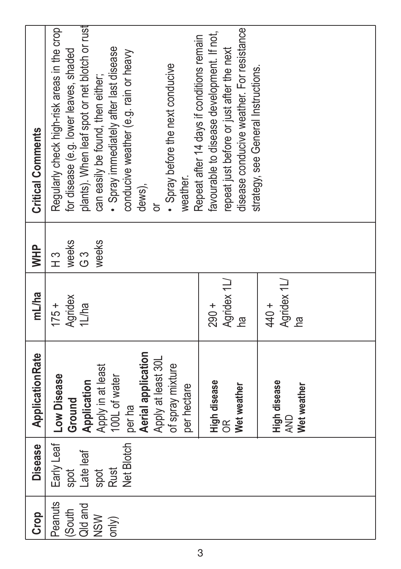| <b>Critical Comments</b> | Regularly check high-risk areas in the crop<br>for disease (e.g. lower leaves, shaded | plants). When leaf spot or net blotch or rust | Spray immediately after last disease<br>can easily be found, then either; | conducive weather (e.g. rain or heavy |                    | Spray before the next conducive        | Repeat after 14 days if conditions remain<br>weather. | favourable to disease development. If not, | disease conducive weather. For resistance<br>repeat just before or just after the next | strategy, see General Instructions. |                            |             |  |  |
|--------------------------|---------------------------------------------------------------------------------------|-----------------------------------------------|---------------------------------------------------------------------------|---------------------------------------|--------------------|----------------------------------------|-------------------------------------------------------|--------------------------------------------|----------------------------------------------------------------------------------------|-------------------------------------|----------------------------|-------------|--|--|
|                          |                                                                                       |                                               |                                                                           |                                       | dews),             |                                        |                                                       |                                            |                                                                                        |                                     |                            |             |  |  |
| <b>NHM</b>               | weeks<br>н3                                                                           | က<br>ပ                                        | weeks                                                                     |                                       |                    |                                        |                                                       |                                            |                                                                                        |                                     |                            |             |  |  |
| mL/ha                    | Agridex<br>$175 +$                                                                    | 1L/ha                                         |                                                                           |                                       |                    |                                        |                                                       | $290 +$                                    | Agridex 1L/<br><u>na</u>                                                               |                                     | Agridex 1L/<br>440+        | <u>na</u>   |  |  |
| ApplicationRate          | Early Leaf   Low Disease<br>Ground                                                    | Application                                   | Apply in at least                                                         | 100L of water                         | Aerial application | Apply at least 30L<br>of spray mixture | per hectare                                           | High disease                               | Wet weather<br>$\frac{1}{2}$                                                           |                                     | High disease<br><b>AND</b> | Wet weather |  |  |
| <b>Disease</b>           | spot                                                                                  | Late leaf                                     | <b>Rust</b><br>spot                                                       | Net Blotch   per ha                   |                    |                                        |                                                       |                                            |                                                                                        |                                     |                            |             |  |  |
| Crop                     | Peanuts<br>$ $ South                                                                  | Qid and                                       | <b>NSW</b><br>$ $ only $ $                                                |                                       |                    |                                        |                                                       |                                            |                                                                                        |                                     |                            |             |  |  |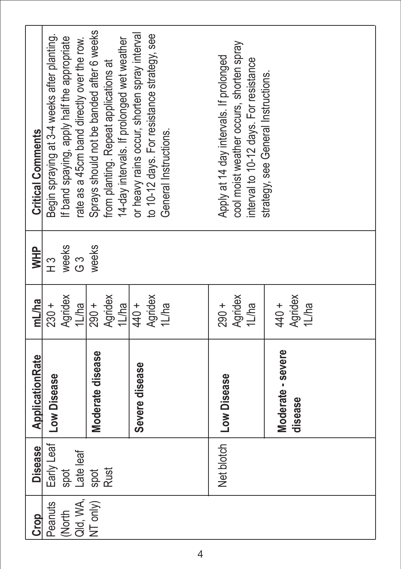| <b>Critical Comments</b> | Begin spraying at 3-4 weeks after planting. | f band spaying, apply half the appropriate | ate as a 45cm band directly over the row. | Sprays should not be banded after 6 weeks | irom planting. Repeat applications at | 4-day intervals. If prolonged wet weather | or heavy rains occur, shorten spray interval | to 10-12 days. For resistance strategy, see | General Instructions. | Apply at 14 day intervals. If prolonged | cool moist weather occurs, shorten spray<br>interval to 10-12 days. For resistance | strategy, see General Instructions. |                  |  |
|--------------------------|---------------------------------------------|--------------------------------------------|-------------------------------------------|-------------------------------------------|---------------------------------------|-------------------------------------------|----------------------------------------------|---------------------------------------------|-----------------------|-----------------------------------------|------------------------------------------------------------------------------------|-------------------------------------|------------------|--|
| <b>HHM</b>               | ιs<br>Η                                     | weeks                                      | က<br>ပ                                    | weeks                                     |                                       |                                           |                                              |                                             |                       |                                         |                                                                                    |                                     |                  |  |
| mL/ha                    | $230 +$                                     | Agridex                                    | 1L/ha                                     | $290 +$                                   | Agridex                               | 1L/ha                                     | 440 +                                        | Agridex                                     | 1L/ha                 | $290 +$                                 | Agridex<br>1L/ha                                                                   | 440+                                | Agridex<br>1L/ha |  |
| ApplicationRate          | Early Leaf   Low Disease                    |                                            |                                           | Moderate disease                          |                                       |                                           | Severe disease                               |                                             |                       | Net blotch   Low Disease                |                                                                                    | Moderate - severe                   | disease          |  |
| <b>Disease</b>           |                                             | spot                                       | Late leaf                                 | spot                                      | <b>Rust</b>                           |                                           |                                              |                                             |                       |                                         |                                                                                    |                                     |                  |  |
| Crop                     | Peanuts                                     | (North                                     | Qld, WA,                                  | $NT$ only)                                |                                       |                                           |                                              |                                             |                       |                                         |                                                                                    |                                     |                  |  |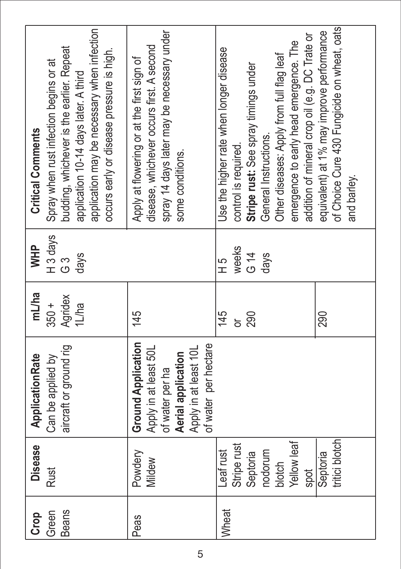| application may be necessary when infection<br>budding, whichever is the earlier. Repeat<br>occurs early or disease pressure is high.<br>Spray when rust infection begins or at<br>application 10-14 days later. A third<br><b>Critical Comments</b><br>H <sub>3</sub> days<br><b>NHM</b><br>days<br>က<br>ပ<br>mL/ha<br>Agridex<br>1L/ha<br>$350 +$ | spray 14 days later may be necessary under<br>disease, whichever occurs first. A second<br>Apply at flowering or at the first sign of<br>some conditions.<br>145 | addition of mineral crop oil (e.g. DC Trate or<br>emergence to early head emergence. The<br>Use the higher rate when longer disease<br>Other diseases: Apply from full flag leaf<br>Stripe rust: See spray timings under<br>General Instructions.<br>control is required.<br>weeks<br>G 14<br>days<br>5 H<br>145<br>290<br>ă | of Choice Cure 430 Fungicide on wheat, oats<br>equivalent) at 1% may improve performance<br>and barley.<br>290 |
|-----------------------------------------------------------------------------------------------------------------------------------------------------------------------------------------------------------------------------------------------------------------------------------------------------------------------------------------------------|------------------------------------------------------------------------------------------------------------------------------------------------------------------|------------------------------------------------------------------------------------------------------------------------------------------------------------------------------------------------------------------------------------------------------------------------------------------------------------------------------|----------------------------------------------------------------------------------------------------------------|
| aircraft or ground rig<br><b>Application Rate</b><br>Can be applied by                                                                                                                                                                                                                                                                              | <b>Ground Application</b><br>of water per hectare<br>Apply in at least 50L<br>Apply in at least 10L<br>Aerial application<br>of water per ha                     |                                                                                                                                                                                                                                                                                                                              |                                                                                                                |
| <b>Disease</b><br><b>Rust</b>                                                                                                                                                                                                                                                                                                                       | Powdery<br>Mildew                                                                                                                                                | Yellow leaf<br>Stripe rust<br>Leaf rust<br>Septoria<br>nodorum<br>blotch<br>spot                                                                                                                                                                                                                                             | tritici blotch<br>Septoria                                                                                     |
| Beans<br>Green<br>Crop                                                                                                                                                                                                                                                                                                                              | Peas                                                                                                                                                             | <b>Wheat</b>                                                                                                                                                                                                                                                                                                                 |                                                                                                                |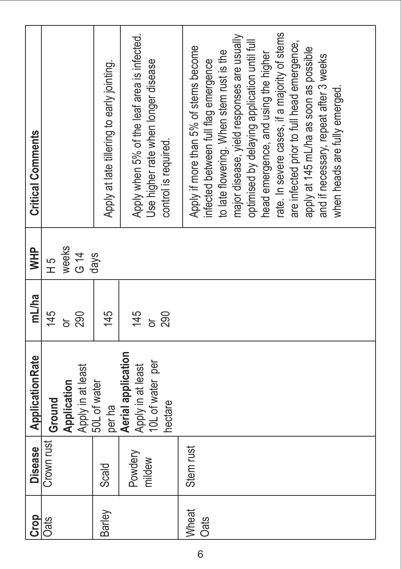| Crop                          | <b>Disease</b>    | <b>Application Rate</b>                                                | mL/ha           | <b>NHM</b>      | <b>Critical Comments</b>                                                                                                                                                                                                                                                                                                                                                                                                                                                           |
|-------------------------------|-------------------|------------------------------------------------------------------------|-----------------|-----------------|------------------------------------------------------------------------------------------------------------------------------------------------------------------------------------------------------------------------------------------------------------------------------------------------------------------------------------------------------------------------------------------------------------------------------------------------------------------------------------|
| <b>Cats</b>                   | Crown rust        | Application<br>Ground                                                  | 145<br>ŏ        | weeks<br>5<br>H |                                                                                                                                                                                                                                                                                                                                                                                                                                                                                    |
|                               |                   | Apply in at least                                                      | 290             | $G$ 14          |                                                                                                                                                                                                                                                                                                                                                                                                                                                                                    |
| Barley                        | Scald             | 50L of water<br>per ha                                                 | 145             | days            | Apply at late tillering to early jointing.                                                                                                                                                                                                                                                                                                                                                                                                                                         |
|                               | Powdery<br>mildew | Aerial application<br>10L of water per<br>Apply in at least<br>hectare | 145<br>290<br>ŏ |                 | Apply when 5% of the leaf area is infected.<br>Use higher rate when longer disease<br>control is required.                                                                                                                                                                                                                                                                                                                                                                         |
| <b>I</b> Wheat<br><b>Cats</b> | Stem rust         |                                                                        |                 |                 | ate. In severe cases, if a majority of stems<br>major disease, yield responses are usually<br>optimised by delaying application until full<br>are infected prior to full head emergence,<br>Apply if more than 5% of stems become<br>apply at 145 mL/ha as soon as possible<br>to late flowering. When stem rust is the<br>head emergence, and using the higher<br>and if necessary, repeat after 3 weeks<br>infected between full flag emergence<br>when heads are fully emerged. |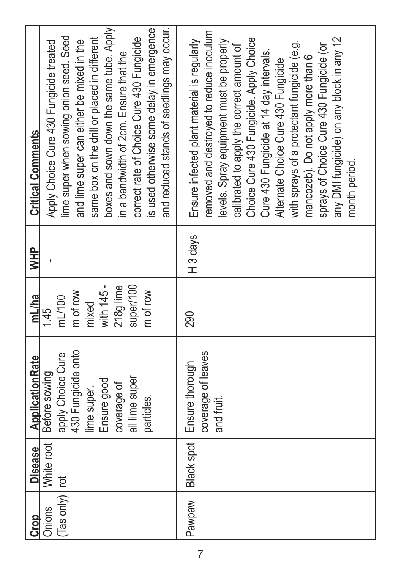| Crop                       | Disease    | <b>Application Rate</b>                                                                                                               | mL/ha                                                                                   | <b>NHID</b>         | <b>Critical Comments</b>                                                                                                                                                                                                                                                                                                                                                                                                                                                                                    |
|----------------------------|------------|---------------------------------------------------------------------------------------------------------------------------------------|-----------------------------------------------------------------------------------------|---------------------|-------------------------------------------------------------------------------------------------------------------------------------------------------------------------------------------------------------------------------------------------------------------------------------------------------------------------------------------------------------------------------------------------------------------------------------------------------------------------------------------------------------|
| (Tas only)   rot<br>Onions | White root | 430 Fungicide onto<br>apply Choice Cure<br>Before sowing<br>all lime super<br>Ensure good<br>coverage of<br>lime super.<br>particles. | with 145 -<br>super/100<br>218g lime<br>m of row<br>m of row<br>mL/100<br>mixed<br>1.45 |                     | boxes and sown down the same tube. Apply<br>and reduced stands of seedlings may occur.<br>is used otherwise some delay in emergence<br>same box on the drill or placed in different<br>lime super when sowing onion seed. Seed<br>correct rate of Choice Cure 430 Fungicide<br>and lime super can either be mixed in the<br>Apply Choice Cure 430 Fungicide treated<br>in a bandwidth of 2cm. Ensure that the                                                                                               |
| Pawpaw                     |            | coverage of leaves<br>Black spot   Ensure thorough<br>and fruit.                                                                      | 290                                                                                     | H <sub>3</sub> days | emoved and destroyed to reduce inoculum<br>any DMI fungicide) on any block in any 12<br>Choice Cure 430 Fungicide. Apply Choice<br>Ensure infected plant material is regularly<br>levels. Spray equipment must be properly<br>with sprays of a protectant fungicide (e.g.<br>sprays of Choice Cure 430 Fungicide (or<br>calibrated to apply the correct amount of<br>Cure 430 Fungicide at 14 day intervals.<br>mancozeb). Do not apply more than 6<br>Alternate Choice Cure 430 Fungicide<br>month period. |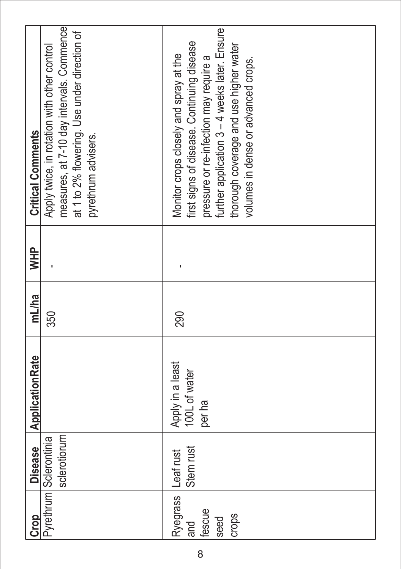| <b>Critical Comments</b> | measures, at 7-10 day intervals. Commence<br>at 1 to 2% flowering. Use under direction of<br>Apply twice, in rotation with other control<br>pyrethrum advisers. | further application 3 - 4 weeks later. Ensure<br>first signs of disease. Continuing disease<br>thorough coverage and use higher water<br>Monitor crops closely and spray at the<br>pressure or re-infection may require a<br>volumes in dense or advanced crops. |
|--------------------------|-----------------------------------------------------------------------------------------------------------------------------------------------------------------|------------------------------------------------------------------------------------------------------------------------------------------------------------------------------------------------------------------------------------------------------------------|
|                          |                                                                                                                                                                 |                                                                                                                                                                                                                                                                  |
| <b>WHP</b>               |                                                                                                                                                                 |                                                                                                                                                                                                                                                                  |
| mL/ha                    | 350                                                                                                                                                             | 290                                                                                                                                                                                                                                                              |
| <b>Application Rate</b>  |                                                                                                                                                                 | Apply in a least<br>100L of water<br>per ha                                                                                                                                                                                                                      |
| Disease                  | sclerotiorum<br>Pyrethrum Sclerontinia                                                                                                                          | Stem rust                                                                                                                                                                                                                                                        |
| Crop                     |                                                                                                                                                                 | Ryegrass Leaf rust<br>fescue<br>crops<br><b>seed</b><br>land                                                                                                                                                                                                     |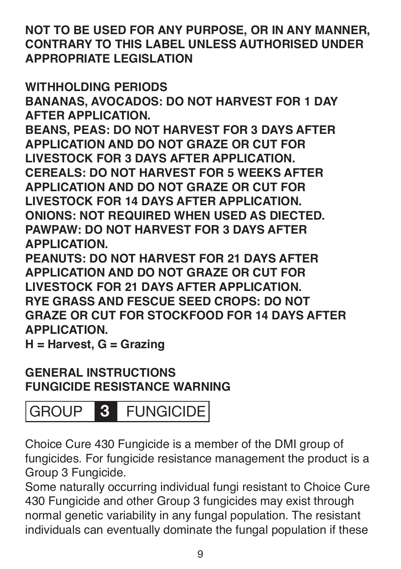**NOT TO BE USED FOR ANY PURPOSE, OR IN ANY MANNER, CONTRARY TO THIS LABEL UNLESS AUTHORISED UNDER APPROPRIATE LEGISLATION**

**WITHHOLDING PERIODS BANANAS, AVOCADOS: DO NOT HARVEST FOR 1 DAY AFTER APPLICATION. BEANS, PEAS: DO NOT HARVEST FOR 3 DAYS AFTER** 

**APPLICATION AND DO NOT GRAZE OR CUT FOR LIVESTOCK FOR 3 DAYS AFTER APPLICATION. CEREALS: DO NOT HARVEST FOR 5 WEEKS AFTER APPLICATION AND DO NOT GRAZE OR CUT FOR LIVESTOCK FOR 14 DAYS AFTER APPLICATION. ONIONS: NOT REQUIRED WHEN USED AS DIECTED. PAWPAW: DO NOT HARVEST FOR 3 DAYS AFTER APPLICATION.**

**PEANUTS: DO NOT HARVEST FOR 21 DAYS AFTER APPLICATION AND DO NOT GRAZE OR CUT FOR LIVESTOCK FOR 21 DAYS AFTER APPLICATION. RYE GRASS AND FESCUE SEED CROPS: DO NOT GRAZE OR CUT FOR STOCKFOOD FOR 14 DAYS AFTER APPLICATION.**

**H = Harvest, G = Grazing**

#### **GENERAL INSTRUCTIONS FUNGICIDE RESISTANCE WARNING**

## GROUP **3** FUNGICIDE

Choice Cure 430 Fungicide is a member of the DMI group of fungicides. For fungicide resistance management the product is a Group 3 Fungicide.

Some naturally occurring individual fungi resistant to Choice Cure 430 Fungicide and other Group 3 fungicides may exist through normal genetic variability in any fungal population. The resistant individuals can eventually dominate the fungal population if these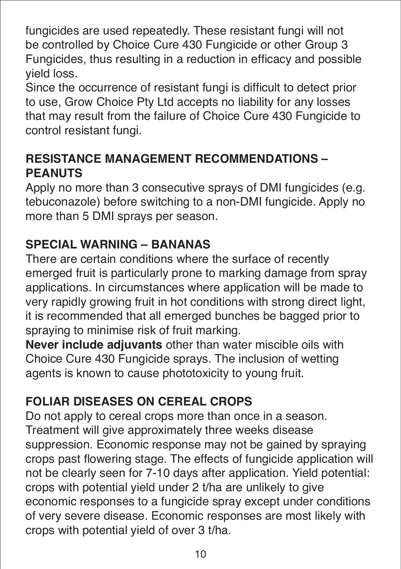fungicides are used repeatedly. These resistant fungi will not be controlled by Choice Cure 430 Fungicide or other Group 3 Fungicides, thus resulting in a reduction in efficacy and possible yield loss.

Since the occurrence of resistant fungi is difficult to detect prior to use, Grow Choice Pty Ltd accepts no liability for any losses that may result from the failure of Choice Cure 430 Fungicide to control resistant fungi.

#### **RESISTANCE MANAGEMENT RECOMMENDATIONS – PEANUTS**

Apply no more than 3 consecutive sprays of DMI fungicides (e.g. tebuconazole) before switching to a non-DMI fungicide. Apply no more than 5 DMI sprays per season.

#### **SPECIAL WARNING – BANANAS**

There are certain conditions where the surface of recently emerged fruit is particularly prone to marking damage from spray applications. In circumstances where application will be made to very rapidly growing fruit in hot conditions with strong direct light, it is recommended that all emerged bunches be bagged prior to spraying to minimise risk of fruit marking.

**Never include adjuvants** other than water miscible oils with Choice Cure 430 Fungicide sprays. The inclusion of wetting agents is known to cause phototoxicity to young fruit.

#### **FOLIAR DISEASES ON CEREAL CROPS**

Do not apply to cereal crops more than once in a season. Treatment will give approximately three weeks disease suppression. Economic response may not be gained by spraying crops past flowering stage. The effects of fungicide application will not be clearly seen for 7-10 days after application. Yield potential: crops with potential yield under 2 t/ha are unlikely to give economic responses to a fungicide spray except under conditions of very severe disease. Economic responses are most likely with crops with potential yield of over 3 t/ha.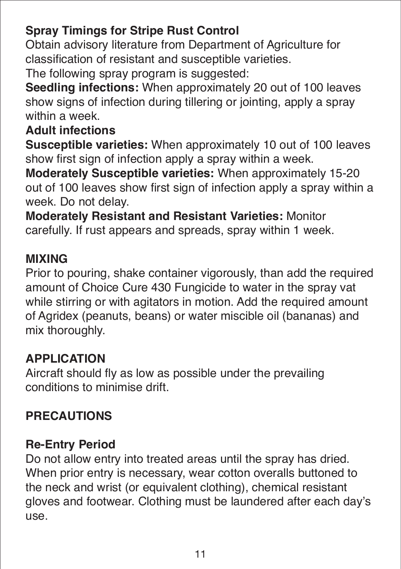#### **Spray Timings for Stripe Rust Control**

Obtain advisory literature from Department of Agriculture for classification of resistant and susceptible varieties.

The following spray program is suggested:

**Seedling infections:** When approximately 20 out of 100 leaves show signs of infection during tillering or jointing, apply a spray within a week

#### **Adult infections**

**Susceptible varieties:** When approximately 10 out of 100 leaves show first sign of infection apply a spray within a week.

**Moderately Susceptible varieties:** When approximately 15-20 out of 100 leaves show first sign of infection apply a spray within a week. Do not delay.

**Moderately Resistant and Resistant Varieties:** Monitor carefully. If rust appears and spreads, spray within 1 week.

#### **MIXING**

Prior to pouring, shake container vigorously, than add the required amount of Choice Cure 430 Fungicide to water in the spray vat while stirring or with agitators in motion. Add the required amount of Agridex (peanuts, beans) or water miscible oil (bananas) and mix thoroughly.

#### **APPLICATION**

Aircraft should fly as low as possible under the prevailing conditions to minimise drift.

#### **PRECAUTIONS**

#### **Re-Entry Period**

Do not allow entry into treated areas until the spray has dried. When prior entry is necessary, wear cotton overalls buttoned to the neck and wrist (or equivalent clothing), chemical resistant gloves and footwear. Clothing must be laundered after each day's use.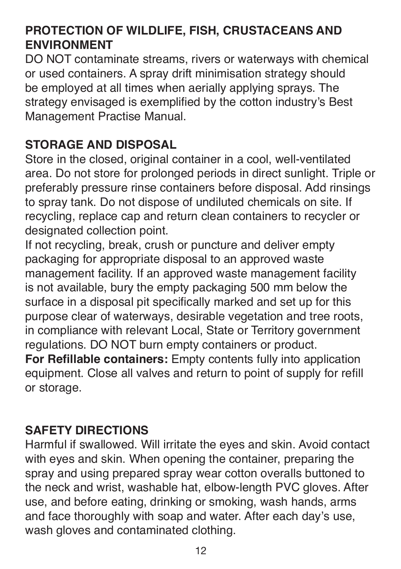#### **PROTECTION OF WILDLIFE, FISH, CRUSTACEANS AND ENVIRONMENT**

DO NOT contaminate streams, rivers or waterways with chemical or used containers. A spray drift minimisation strategy should be employed at all times when aerially applying sprays. The strategy envisaged is exemplified by the cotton industry's Best Management Practise Manual.

#### **STORAGE AND DISPOSAL**

Store in the closed, original container in a cool, well-ventilated area. Do not store for prolonged periods in direct sunlight. Triple or preferably pressure rinse containers before disposal. Add rinsings to spray tank. Do not dispose of undiluted chemicals on site. If recycling, replace cap and return clean containers to recycler or designated collection point.

If not recycling, break, crush or puncture and deliver empty packaging for appropriate disposal to an approved waste management facility. If an approved waste management facility is not available, bury the empty packaging 500 mm below the surface in a disposal pit specifically marked and set up for this purpose clear of waterways, desirable vegetation and tree roots, in compliance with relevant Local, State or Territory government regulations. DO NOT burn empty containers or product. **For Refillable containers:** Empty contents fully into application equipment. Close all valves and return to point of supply for refill

or storage.

#### **SAFETY DIRECTIONS**

Harmful if swallowed. Will irritate the eyes and skin. Avoid contact with eyes and skin. When opening the container, preparing the spray and using prepared spray wear cotton overalls buttoned to the neck and wrist, washable hat, elbow-length PVC gloves. After use, and before eating, drinking or smoking, wash hands, arms and face thoroughly with soap and water. After each day's use, wash gloves and contaminated clothing.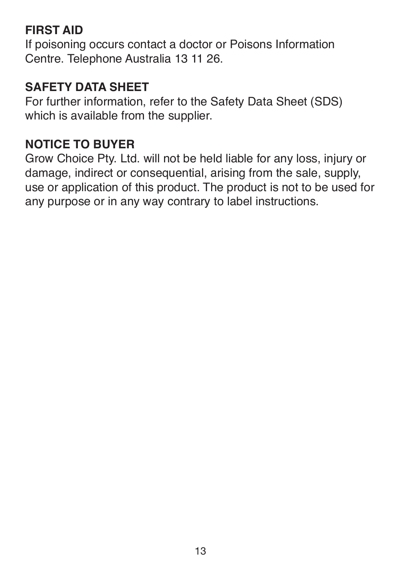#### **FIRST AID**

If poisoning occurs contact a doctor or Poisons Information Centre. Telephone Australia 13 11 26.

#### **SAFETY DATA SHEET**

For further information, refer to the Safety Data Sheet (SDS) which is available from the supplier.

#### **NOTICE TO BUYER**

Grow Choice Pty. Ltd. will not be held liable for any loss, injury or damage, indirect or consequential, arising from the sale, supply, use or application of this product. The product is not to be used for any purpose or in any way contrary to label instructions.